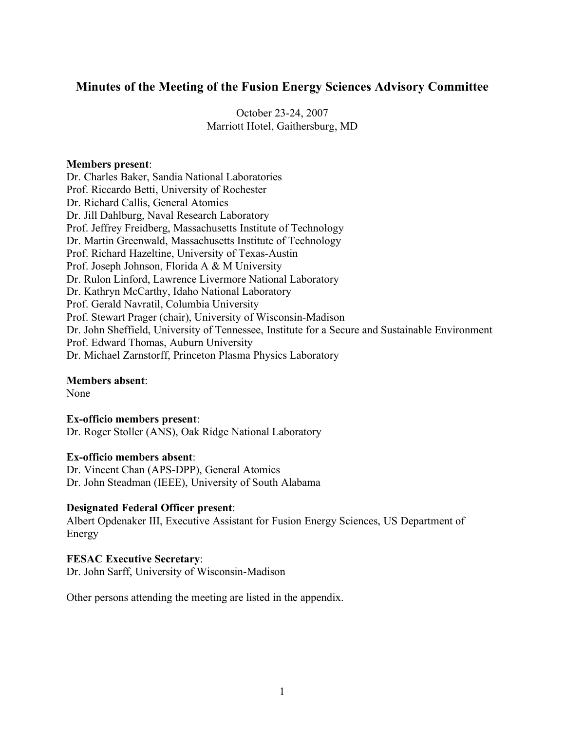# **Minutes of the Meeting of the Fusion Energy Sciences Advisory Committee**

October 23-24, 2007 Marriott Hotel, Gaithersburg, MD

### **Members present**:

Dr. Charles Baker, Sandia National Laboratories Prof. Riccardo Betti, University of Rochester Dr. Richard Callis, General Atomics Dr. Jill Dahlburg, Naval Research Laboratory Prof. Jeffrey Freidberg, Massachusetts Institute of Technology Dr. Martin Greenwald, Massachusetts Institute of Technology Prof. Richard Hazeltine, University of Texas-Austin Prof. Joseph Johnson, Florida A & M University Dr. Rulon Linford, Lawrence Livermore National Laboratory Dr. Kathryn McCarthy, Idaho National Laboratory Prof. Gerald Navratil, Columbia University Prof. Stewart Prager (chair), University of Wisconsin-Madison Dr. John Sheffield, University of Tennessee, Institute for a Secure and Sustainable Environment Prof. Edward Thomas, Auburn University Dr. Michael Zarnstorff, Princeton Plasma Physics Laboratory

## **Members absent**:

None

**Ex-officio members present**: Dr. Roger Stoller (ANS), Oak Ridge National Laboratory

### **Ex-officio members absent**:

Dr. Vincent Chan (APS-DPP), General Atomics Dr. John Steadman (IEEE), University of South Alabama

### **Designated Federal Officer present**:

Albert Opdenaker III, Executive Assistant for Fusion Energy Sciences, US Department of Energy

### **FESAC Executive Secretary**:

Dr. John Sarff, University of Wisconsin-Madison

Other persons attending the meeting are listed in the appendix.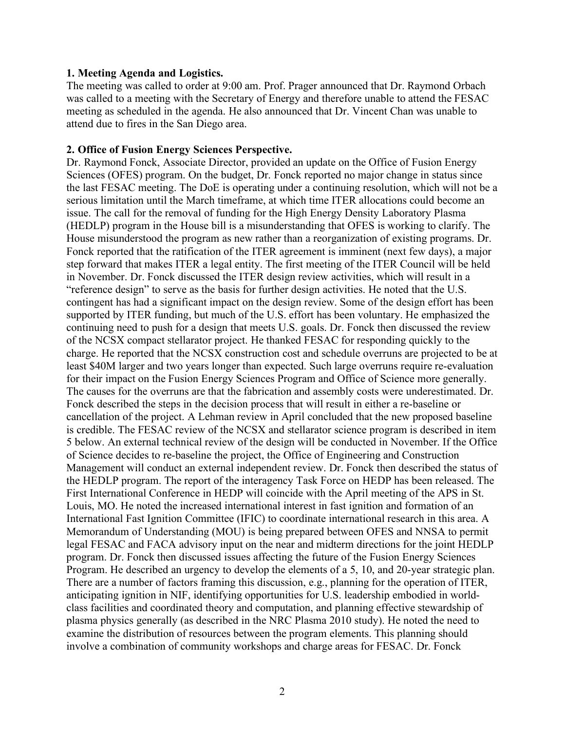#### **1. Meeting Agenda and Logistics.**

The meeting was called to order at 9:00 am. Prof. Prager announced that Dr. Raymond Orbach was called to a meeting with the Secretary of Energy and therefore unable to attend the FESAC meeting as scheduled in the agenda. He also announced that Dr. Vincent Chan was unable to attend due to fires in the San Diego area.

#### **2. Office of Fusion Energy Sciences Perspective.**

Dr. Raymond Fonck, Associate Director, provided an update on the Office of Fusion Energy Sciences (OFES) program. On the budget, Dr. Fonck reported no major change in status since the last FESAC meeting. The DoE is operating under a continuing resolution, which will not be a serious limitation until the March timeframe, at which time ITER allocations could become an issue. The call for the removal of funding for the High Energy Density Laboratory Plasma (HEDLP) program in the House bill is a misunderstanding that OFES is working to clarify. The House misunderstood the program as new rather than a reorganization of existing programs. Dr. Fonck reported that the ratification of the ITER agreement is imminent (next few days), a major step forward that makes ITER a legal entity. The first meeting of the ITER Council will be held in November. Dr. Fonck discussed the ITER design review activities, which will result in a "reference design" to serve as the basis for further design activities. He noted that the U.S. contingent has had a significant impact on the design review. Some of the design effort has been supported by ITER funding, but much of the U.S. effort has been voluntary. He emphasized the continuing need to push for a design that meets U.S. goals. Dr. Fonck then discussed the review of the NCSX compact stellarator project. He thanked FESAC for responding quickly to the charge. He reported that the NCSX construction cost and schedule overruns are projected to be at least \$40M larger and two years longer than expected. Such large overruns require re-evaluation for their impact on the Fusion Energy Sciences Program and Office of Science more generally. The causes for the overruns are that the fabrication and assembly costs were underestimated. Dr. Fonck described the steps in the decision process that will result in either a re-baseline or cancellation of the project. A Lehman review in April concluded that the new proposed baseline is credible. The FESAC review of the NCSX and stellarator science program is described in item 5 below. An external technical review of the design will be conducted in November. If the Office of Science decides to re-baseline the project, the Office of Engineering and Construction Management will conduct an external independent review. Dr. Fonck then described the status of the HEDLP program. The report of the interagency Task Force on HEDP has been released. The First International Conference in HEDP will coincide with the April meeting of the APS in St. Louis, MO. He noted the increased international interest in fast ignition and formation of an International Fast Ignition Committee (IFIC) to coordinate international research in this area. A Memorandum of Understanding (MOU) is being prepared between OFES and NNSA to permit legal FESAC and FACA advisory input on the near and midterm directions for the joint HEDLP program. Dr. Fonck then discussed issues affecting the future of the Fusion Energy Sciences Program. He described an urgency to develop the elements of a 5, 10, and 20-year strategic plan. There are a number of factors framing this discussion, e.g., planning for the operation of ITER, anticipating ignition in NIF, identifying opportunities for U.S. leadership embodied in worldclass facilities and coordinated theory and computation, and planning effective stewardship of plasma physics generally (as described in the NRC Plasma 2010 study). He noted the need to examine the distribution of resources between the program elements. This planning should involve a combination of community workshops and charge areas for FESAC. Dr. Fonck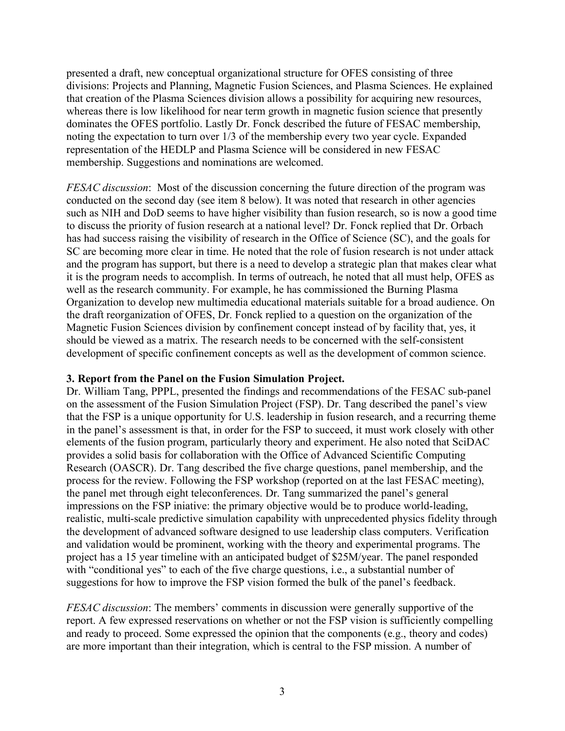presented a draft, new conceptual organizational structure for OFES consisting of three divisions: Projects and Planning, Magnetic Fusion Sciences, and Plasma Sciences. He explained that creation of the Plasma Sciences division allows a possibility for acquiring new resources, whereas there is low likelihood for near term growth in magnetic fusion science that presently dominates the OFES portfolio. Lastly Dr. Fonck described the future of FESAC membership, noting the expectation to turn over 1/3 of the membership every two year cycle. Expanded representation of the HEDLP and Plasma Science will be considered in new FESAC membership. Suggestions and nominations are welcomed.

*FESAC discussion*: Most of the discussion concerning the future direction of the program was conducted on the second day (see item 8 below). It was noted that research in other agencies such as NIH and DoD seems to have higher visibility than fusion research, so is now a good time to discuss the priority of fusion research at a national level? Dr. Fonck replied that Dr. Orbach has had success raising the visibility of research in the Office of Science (SC), and the goals for SC are becoming more clear in time. He noted that the role of fusion research is not under attack and the program has support, but there is a need to develop a strategic plan that makes clear what it is the program needs to accomplish. In terms of outreach, he noted that all must help, OFES as well as the research community. For example, he has commissioned the Burning Plasma Organization to develop new multimedia educational materials suitable for a broad audience. On the draft reorganization of OFES, Dr. Fonck replied to a question on the organization of the Magnetic Fusion Sciences division by confinement concept instead of by facility that, yes, it should be viewed as a matrix. The research needs to be concerned with the self-consistent development of specific confinement concepts as well as the development of common science.

### **3. Report from the Panel on the Fusion Simulation Project.**

Dr. William Tang, PPPL, presented the findings and recommendations of the FESAC sub-panel on the assessment of the Fusion Simulation Project (FSP). Dr. Tang described the panel's view that the FSP is a unique opportunity for U.S. leadership in fusion research, and a recurring theme in the panel's assessment is that, in order for the FSP to succeed, it must work closely with other elements of the fusion program, particularly theory and experiment. He also noted that SciDAC provides a solid basis for collaboration with the Office of Advanced Scientific Computing Research (OASCR). Dr. Tang described the five charge questions, panel membership, and the process for the review. Following the FSP workshop (reported on at the last FESAC meeting), the panel met through eight teleconferences. Dr. Tang summarized the panel's general impressions on the FSP iniative: the primary objective would be to produce world-leading, realistic, multi-scale predictive simulation capability with unprecedented physics fidelity through the development of advanced software designed to use leadership class computers. Verification and validation would be prominent, working with the theory and experimental programs. The project has a 15 year timeline with an anticipated budget of \$25M/year. The panel responded with "conditional yes" to each of the five charge questions, i.e., a substantial number of suggestions for how to improve the FSP vision formed the bulk of the panel's feedback.

*FESAC discussion*: The members' comments in discussion were generally supportive of the report. A few expressed reservations on whether or not the FSP vision is sufficiently compelling and ready to proceed. Some expressed the opinion that the components (e.g., theory and codes) are more important than their integration, which is central to the FSP mission. A number of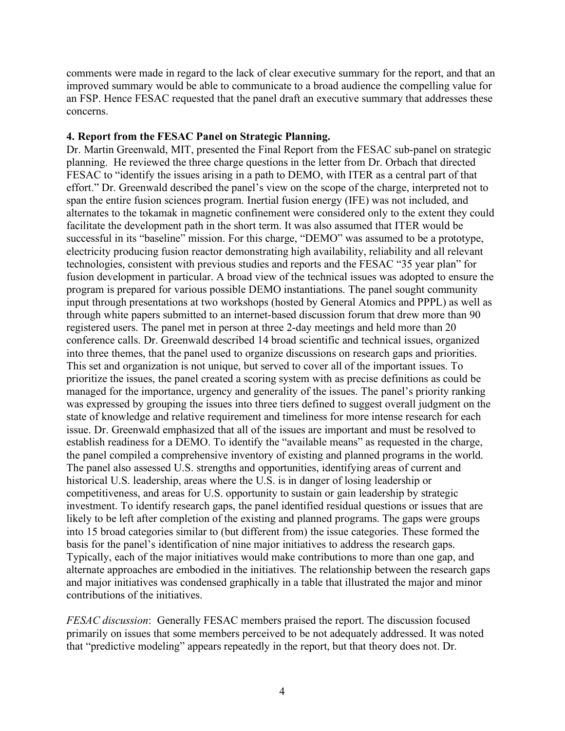comments were made in regard to the lack of clear executive summary for the report, and that an improved summary would be able to communicate to a broad audience the compelling value for an FSP. Hence FESAC requested that the panel draft an executive summary that addresses these concerns.

### **4. Report from the FESAC Panel on Strategic Planning.**

Dr. Martin Greenwald, MIT, presented the Final Report from the FESAC sub-panel on strategic planning. He reviewed the three charge questions in the letter from Dr. Orbach that directed FESAC to "identify the issues arising in a path to DEMO, with ITER as a central part of that effort." Dr. Greenwald described the panel's view on the scope of the charge, interpreted not to span the entire fusion sciences program. Inertial fusion energy (IFE) was not included, and alternates to the tokamak in magnetic confinement were considered only to the extent they could facilitate the development path in the short term. It was also assumed that ITER would be successful in its "baseline" mission. For this charge, "DEMO" was assumed to be a prototype, electricity producing fusion reactor demonstrating high availability, reliability and all relevant technologies, consistent with previous studies and reports and the FESAC "35 year plan" for fusion development in particular. A broad view of the technical issues was adopted to ensure the program is prepared for various possible DEMO instantiations. The panel sought community input through presentations at two workshops (hosted by General Atomics and PPPL) as well as through white papers submitted to an internet-based discussion forum that drew more than 90 registered users. The panel met in person at three 2-day meetings and held more than 20 conference calls. Dr. Greenwald described 14 broad scientific and technical issues, organized into three themes, that the panel used to organize discussions on research gaps and priorities. This set and organization is not unique, but served to cover all of the important issues. To prioritize the issues, the panel created a scoring system with as precise definitions as could be managed for the importance, urgency and generality of the issues. The panel's priority ranking was expressed by grouping the issues into three tiers defined to suggest overall judgment on the state of knowledge and relative requirement and timeliness for more intense research for each issue. Dr. Greenwald emphasized that all of the issues are important and must be resolved to establish readiness for a DEMO. To identify the "available means" as requested in the charge, the panel compiled a comprehensive inventory of existing and planned programs in the world. The panel also assessed U.S. strengths and opportunities, identifying areas of current and historical U.S. leadership, areas where the U.S. is in danger of losing leadership or competitiveness, and areas for U.S. opportunity to sustain or gain leadership by strategic investment. To identify research gaps, the panel identified residual questions or issues that are likely to be left after completion of the existing and planned programs. The gaps were groups into 15 broad categories similar to (but different from) the issue categories. These formed the basis for the panel's identification of nine major initiatives to address the research gaps. Typically, each of the major initiatives would make contributions to more than one gap, and alternate approaches are embodied in the initiatives. The relationship between the research gaps and major initiatives was condensed graphically in a table that illustrated the major and minor contributions of the initiatives.

*FESAC discussion*: Generally FESAC members praised the report. The discussion focused primarily on issues that some members perceived to be not adequately addressed. It was noted that "predictive modeling" appears repeatedly in the report, but that theory does not. Dr.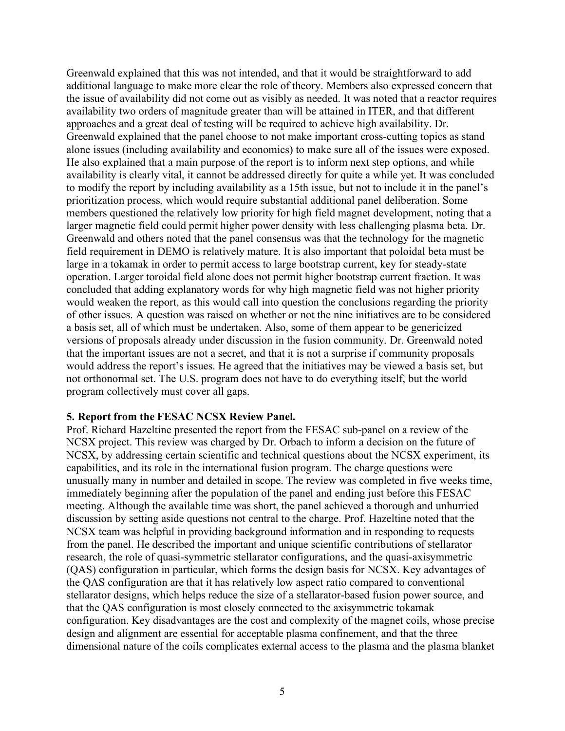Greenwald explained that this was not intended, and that it would be straightforward to add additional language to make more clear the role of theory. Members also expressed concern that the issue of availability did not come out as visibly as needed. It was noted that a reactor requires availability two orders of magnitude greater than will be attained in ITER, and that different approaches and a great deal of testing will be required to achieve high availability. Dr. Greenwald explained that the panel choose to not make important cross-cutting topics as stand alone issues (including availability and economics) to make sure all of the issues were exposed. He also explained that a main purpose of the report is to inform next step options, and while availability is clearly vital, it cannot be addressed directly for quite a while yet. It was concluded to modify the report by including availability as a 15th issue, but not to include it in the panel's prioritization process, which would require substantial additional panel deliberation. Some members questioned the relatively low priority for high field magnet development, noting that a larger magnetic field could permit higher power density with less challenging plasma beta. Dr. Greenwald and others noted that the panel consensus was that the technology for the magnetic field requirement in DEMO is relatively mature. It is also important that poloidal beta must be large in a tokamak in order to permit access to large bootstrap current, key for steady-state operation. Larger toroidal field alone does not permit higher bootstrap current fraction. It was concluded that adding explanatory words for why high magnetic field was not higher priority would weaken the report, as this would call into question the conclusions regarding the priority of other issues. A question was raised on whether or not the nine initiatives are to be considered a basis set, all of which must be undertaken. Also, some of them appear to be genericized versions of proposals already under discussion in the fusion community. Dr. Greenwald noted that the important issues are not a secret, and that it is not a surprise if community proposals would address the report's issues. He agreed that the initiatives may be viewed a basis set, but not orthonormal set. The U.S. program does not have to do everything itself, but the world program collectively must cover all gaps.

#### **5. Report from the FESAC NCSX Review Panel.**

Prof. Richard Hazeltine presented the report from the FESAC sub-panel on a review of the NCSX project. This review was charged by Dr. Orbach to inform a decision on the future of NCSX, by addressing certain scientific and technical questions about the NCSX experiment, its capabilities, and its role in the international fusion program. The charge questions were unusually many in number and detailed in scope. The review was completed in five weeks time, immediately beginning after the population of the panel and ending just before this FESAC meeting. Although the available time was short, the panel achieved a thorough and unhurried discussion by setting aside questions not central to the charge. Prof. Hazeltine noted that the NCSX team was helpful in providing background information and in responding to requests from the panel. He described the important and unique scientific contributions of stellarator research, the role of quasi-symmetric stellarator configurations, and the quasi-axisymmetric (QAS) configuration in particular, which forms the design basis for NCSX. Key advantages of the QAS configuration are that it has relatively low aspect ratio compared to conventional stellarator designs, which helps reduce the size of a stellarator-based fusion power source, and that the QAS configuration is most closely connected to the axisymmetric tokamak configuration. Key disadvantages are the cost and complexity of the magnet coils, whose precise design and alignment are essential for acceptable plasma confinement, and that the three dimensional nature of the coils complicates external access to the plasma and the plasma blanket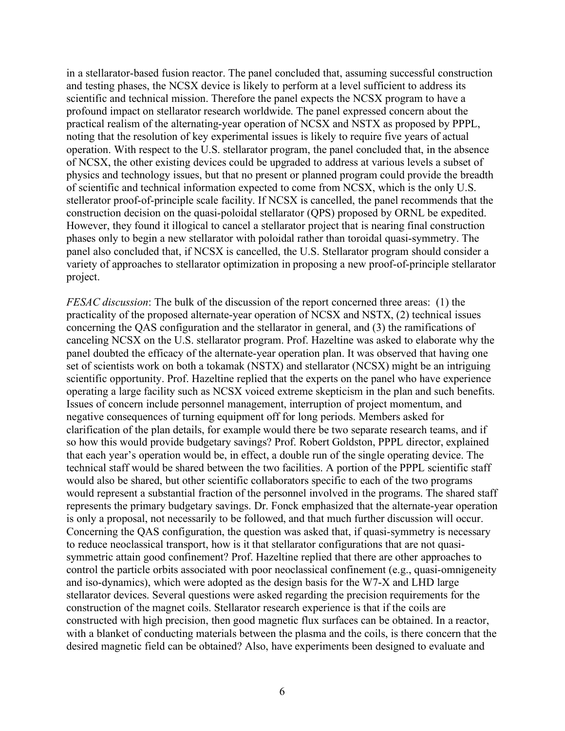in a stellarator-based fusion reactor. The panel concluded that, assuming successful construction and testing phases, the NCSX device is likely to perform at a level sufficient to address its scientific and technical mission. Therefore the panel expects the NCSX program to have a profound impact on stellarator research worldwide. The panel expressed concern about the practical realism of the alternating-year operation of NCSX and NSTX as proposed by PPPL, noting that the resolution of key experimental issues is likely to require five years of actual operation. With respect to the U.S. stellarator program, the panel concluded that, in the absence of NCSX, the other existing devices could be upgraded to address at various levels a subset of physics and technology issues, but that no present or planned program could provide the breadth of scientific and technical information expected to come from NCSX, which is the only U.S. stellerator proof-of-principle scale facility. If NCSX is cancelled, the panel recommends that the construction decision on the quasi-poloidal stellarator (QPS) proposed by ORNL be expedited. However, they found it illogical to cancel a stellarator project that is nearing final construction phases only to begin a new stellarator with poloidal rather than toroidal quasi-symmetry. The panel also concluded that, if NCSX is cancelled, the U.S. Stellarator program should consider a variety of approaches to stellarator optimization in proposing a new proof-of-principle stellarator project.

*FESAC discussion*: The bulk of the discussion of the report concerned three areas: (1) the practicality of the proposed alternate-year operation of NCSX and NSTX, (2) technical issues concerning the QAS configuration and the stellarator in general, and (3) the ramifications of canceling NCSX on the U.S. stellarator program. Prof. Hazeltine was asked to elaborate why the panel doubted the efficacy of the alternate-year operation plan. It was observed that having one set of scientists work on both a tokamak (NSTX) and stellarator (NCSX) might be an intriguing scientific opportunity. Prof. Hazeltine replied that the experts on the panel who have experience operating a large facility such as NCSX voiced extreme skepticism in the plan and such benefits. Issues of concern include personnel management, interruption of project momentum, and negative consequences of turning equipment off for long periods. Members asked for clarification of the plan details, for example would there be two separate research teams, and if so how this would provide budgetary savings? Prof. Robert Goldston, PPPL director, explained that each year's operation would be, in effect, a double run of the single operating device. The technical staff would be shared between the two facilities. A portion of the PPPL scientific staff would also be shared, but other scientific collaborators specific to each of the two programs would represent a substantial fraction of the personnel involved in the programs. The shared staff represents the primary budgetary savings. Dr. Fonck emphasized that the alternate-year operation is only a proposal, not necessarily to be followed, and that much further discussion will occur. Concerning the QAS configuration, the question was asked that, if quasi-symmetry is necessary to reduce neoclassical transport, how is it that stellarator configurations that are not quasisymmetric attain good confinement? Prof. Hazeltine replied that there are other approaches to control the particle orbits associated with poor neoclassical confinement (e.g., quasi-omnigeneity and iso-dynamics), which were adopted as the design basis for the W7-X and LHD large stellarator devices. Several questions were asked regarding the precision requirements for the construction of the magnet coils. Stellarator research experience is that if the coils are constructed with high precision, then good magnetic flux surfaces can be obtained. In a reactor, with a blanket of conducting materials between the plasma and the coils, is there concern that the desired magnetic field can be obtained? Also, have experiments been designed to evaluate and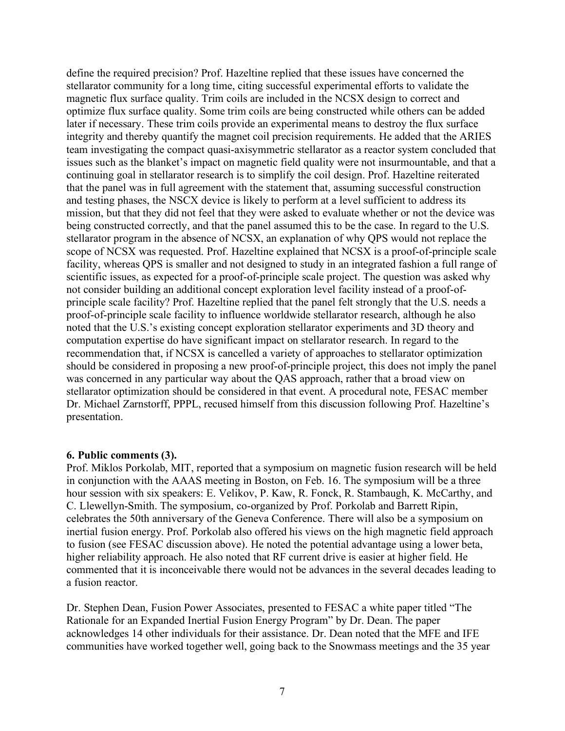define the required precision? Prof. Hazeltine replied that these issues have concerned the stellarator community for a long time, citing successful experimental efforts to validate the magnetic flux surface quality. Trim coils are included in the NCSX design to correct and optimize flux surface quality. Some trim coils are being constructed while others can be added later if necessary. These trim coils provide an experimental means to destroy the flux surface integrity and thereby quantify the magnet coil precision requirements. He added that the ARIES team investigating the compact quasi-axisymmetric stellarator as a reactor system concluded that issues such as the blanket's impact on magnetic field quality were not insurmountable, and that a continuing goal in stellarator research is to simplify the coil design. Prof. Hazeltine reiterated that the panel was in full agreement with the statement that, assuming successful construction and testing phases, the NSCX device is likely to perform at a level sufficient to address its mission, but that they did not feel that they were asked to evaluate whether or not the device was being constructed correctly, and that the panel assumed this to be the case. In regard to the U.S. stellarator program in the absence of NCSX, an explanation of why QPS would not replace the scope of NCSX was requested. Prof. Hazeltine explained that NCSX is a proof-of-principle scale facility, whereas QPS is smaller and not designed to study in an integrated fashion a full range of scientific issues, as expected for a proof-of-principle scale project. The question was asked why not consider building an additional concept exploration level facility instead of a proof-ofprinciple scale facility? Prof. Hazeltine replied that the panel felt strongly that the U.S. needs a proof-of-principle scale facility to influence worldwide stellarator research, although he also noted that the U.S.'s existing concept exploration stellarator experiments and 3D theory and computation expertise do have significant impact on stellarator research. In regard to the recommendation that, if NCSX is cancelled a variety of approaches to stellarator optimization should be considered in proposing a new proof-of-principle project, this does not imply the panel was concerned in any particular way about the QAS approach, rather that a broad view on stellarator optimization should be considered in that event. A procedural note, FESAC member Dr. Michael Zarnstorff, PPPL, recused himself from this discussion following Prof. Hazeltine's presentation.

#### **6. Public comments (3).**

Prof. Miklos Porkolab, MIT, reported that a symposium on magnetic fusion research will be held in conjunction with the AAAS meeting in Boston, on Feb. 16. The symposium will be a three hour session with six speakers: E. Velikov, P. Kaw, R. Fonck, R. Stambaugh, K. McCarthy, and C. Llewellyn-Smith. The symposium, co-organized by Prof. Porkolab and Barrett Ripin, celebrates the 50th anniversary of the Geneva Conference. There will also be a symposium on inertial fusion energy. Prof. Porkolab also offered his views on the high magnetic field approach to fusion (see FESAC discussion above). He noted the potential advantage using a lower beta, higher reliability approach. He also noted that RF current drive is easier at higher field. He commented that it is inconceivable there would not be advances in the several decades leading to a fusion reactor.

Dr. Stephen Dean, Fusion Power Associates, presented to FESAC a white paper titled "The Rationale for an Expanded Inertial Fusion Energy Program" by Dr. Dean. The paper acknowledges 14 other individuals for their assistance. Dr. Dean noted that the MFE and IFE communities have worked together well, going back to the Snowmass meetings and the 35 year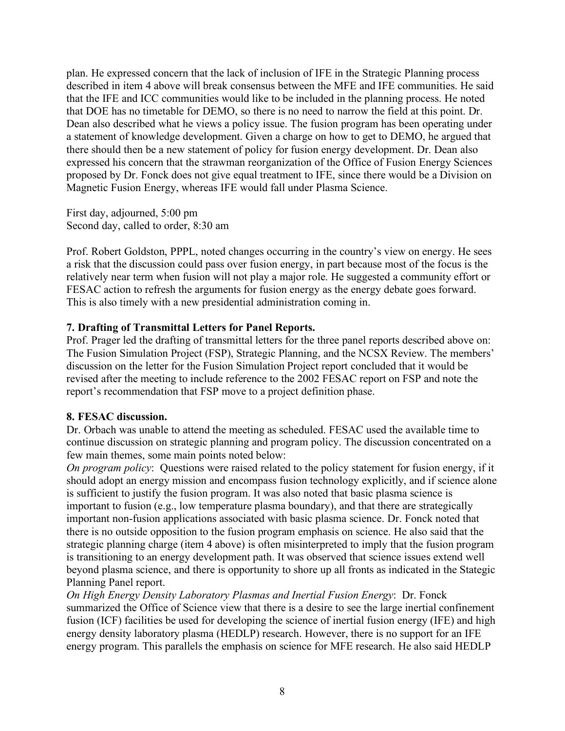plan. He expressed concern that the lack of inclusion of IFE in the Strategic Planning process described in item 4 above will break consensus between the MFE and IFE communities. He said that the IFE and ICC communities would like to be included in the planning process. He noted that DOE has no timetable for DEMO, so there is no need to narrow the field at this point. Dr. Dean also described what he views a policy issue. The fusion program has been operating under a statement of knowledge development. Given a charge on how to get to DEMO, he argued that there should then be a new statement of policy for fusion energy development. Dr. Dean also expressed his concern that the strawman reorganization of the Office of Fusion Energy Sciences proposed by Dr. Fonck does not give equal treatment to IFE, since there would be a Division on Magnetic Fusion Energy, whereas IFE would fall under Plasma Science.

First day, adjourned, 5:00 pm Second day, called to order, 8:30 am

Prof. Robert Goldston, PPPL, noted changes occurring in the country's view on energy. He sees a risk that the discussion could pass over fusion energy, in part because most of the focus is the relatively near term when fusion will not play a major role. He suggested a community effort or FESAC action to refresh the arguments for fusion energy as the energy debate goes forward. This is also timely with a new presidential administration coming in.

## **7. Drafting of Transmittal Letters for Panel Reports.**

Prof. Prager led the drafting of transmittal letters for the three panel reports described above on: The Fusion Simulation Project (FSP), Strategic Planning, and the NCSX Review. The members' discussion on the letter for the Fusion Simulation Project report concluded that it would be revised after the meeting to include reference to the 2002 FESAC report on FSP and note the report's recommendation that FSP move to a project definition phase.

## **8. FESAC discussion.**

Dr. Orbach was unable to attend the meeting as scheduled. FESAC used the available time to continue discussion on strategic planning and program policy. The discussion concentrated on a few main themes, some main points noted below:

*On program policy*: Questions were raised related to the policy statement for fusion energy, if it should adopt an energy mission and encompass fusion technology explicitly, and if science alone is sufficient to justify the fusion program. It was also noted that basic plasma science is important to fusion (e.g., low temperature plasma boundary), and that there are strategically important non-fusion applications associated with basic plasma science. Dr. Fonck noted that there is no outside opposition to the fusion program emphasis on science. He also said that the strategic planning charge (item 4 above) is often misinterpreted to imply that the fusion program is transitioning to an energy development path. It was observed that science issues extend well beyond plasma science, and there is opportunity to shore up all fronts as indicated in the Stategic Planning Panel report.

*On High Energy Density Laboratory Plasmas and Inertial Fusion Energy*: Dr. Fonck summarized the Office of Science view that there is a desire to see the large inertial confinement fusion (ICF) facilities be used for developing the science of inertial fusion energy (IFE) and high energy density laboratory plasma (HEDLP) research. However, there is no support for an IFE energy program. This parallels the emphasis on science for MFE research. He also said HEDLP